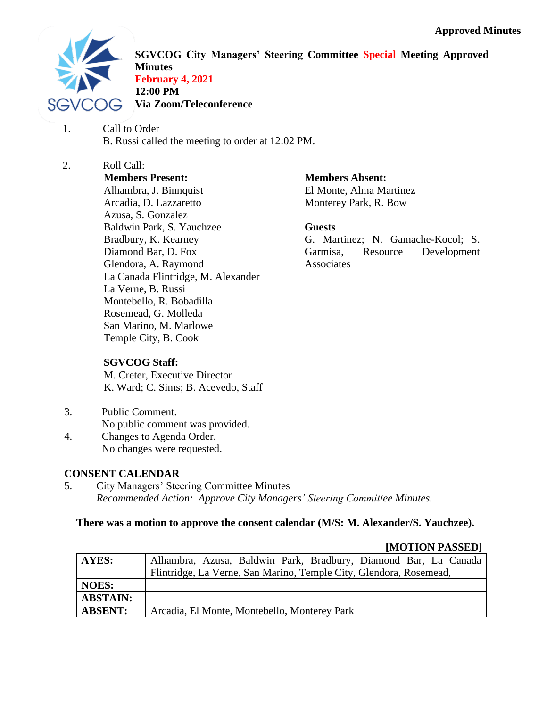

**SGVCOG City Managers' Steering Committee Special Meeting Approved Minutes February 4, 2021 12:00 PM Via Zoom/Teleconference**

- 1. Call to Order B. Russi called the meeting to order at 12:02 PM.
- 2. Roll Call: **Members Present:** Alhambra, J. Binnquist Arcadia, D. Lazzaretto Azusa, S. Gonzalez Baldwin Park, S. Yauchzee Bradbury, K. Kearney Diamond Bar, D. Fox Glendora, A. Raymond La Canada Flintridge, M. Alexander La Verne, B. Russi Montebello, R. Bobadilla Rosemead, G. Molleda San Marino, M. Marlowe Temple City, B. Cook

**Members Absent:**

El Monte, Alma Martinez Monterey Park, R. Bow

## **Guests**

G. Martinez; N. Gamache-Kocol; S. Garmisa, Resource Development Associates

### **SGVCOG Staff:**

M. Creter, Executive Director K. Ward; C. Sims; B. Acevedo, Staff

- 3. Public Comment.
- No public comment was provided.
- 4. Changes to Agenda Order. No changes were requested.

## **CONSENT CALENDAR**

5. City Managers' Steering Committee Minutes *Recommended Action: Approve City Managers' Steering Committee Minutes.*

## **There was a motion to approve the consent calendar (M/S: M. Alexander/S. Yauchzee).**

|                 | <b>HULLIUN LADDLUI</b>                                             |
|-----------------|--------------------------------------------------------------------|
| AYES:           | Alhambra, Azusa, Baldwin Park, Bradbury, Diamond Bar, La Canada    |
|                 | Flintridge, La Verne, San Marino, Temple City, Glendora, Rosemead, |
| <b>NOES:</b>    |                                                                    |
| <b>ABSTAIN:</b> |                                                                    |
| <b>ABSENT:</b>  | Arcadia, El Monte, Montebello, Monterey Park                       |

# **[MOTION PASSED]**